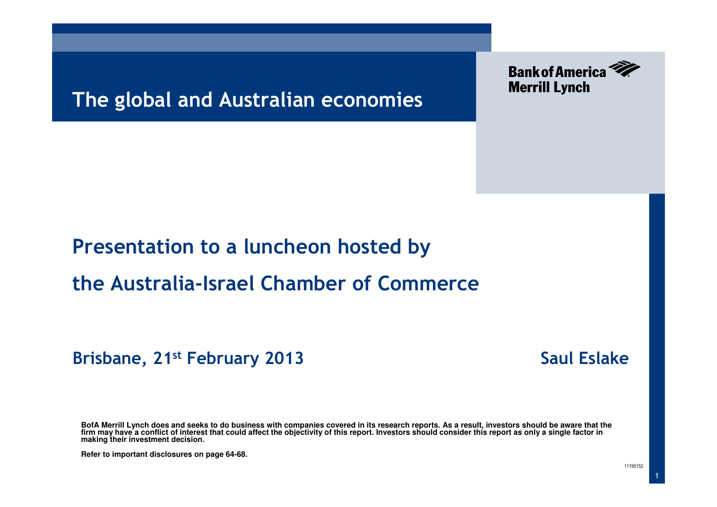### The global and Australian economies



### Presentation to a luncheon hosted by

#### the Australia-Israel Chamber of Commerce

Brisbane, 21<sup>st</sup> February 2013 **Saul Eslake** Saul Eslake

**BofA Merrill Lynch does and seeks to do business with companies covered in its research reports. As a result, investors should be aware that the firm may have a conflict of interest that could affect the objectivity of this report. Investors should consider this report as only a single factor in making their investment decision.**

**Refer to important disclosures on page 64-68.** 

1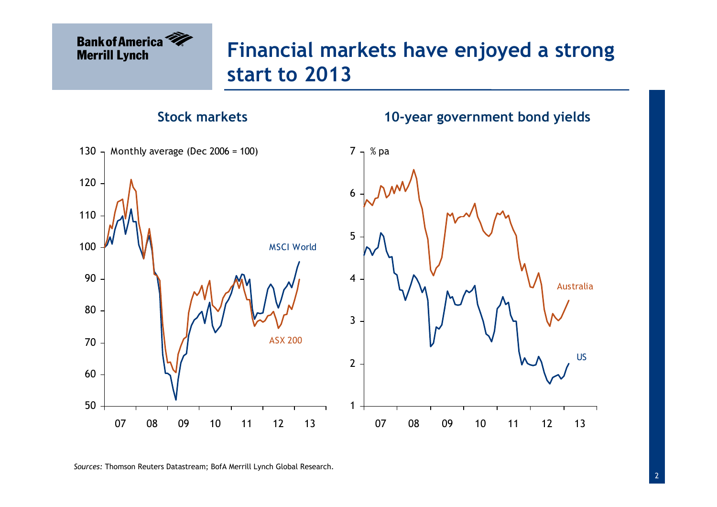# Financial markets have enjoyed a strong start to 2013

#### Stock markets

10-year government bond yields



Sources: Thomson Reuters Datastream; BofA Merrill Lynch Global Research.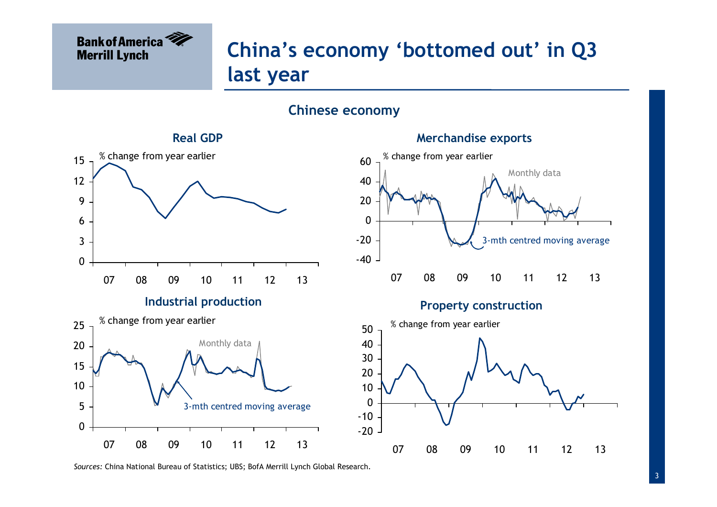

# China's economy 'bottomed out' in Q3 last year

#### Chinese economy



Sources: China National Bureau of Statistics; UBS; BofA Merrill Lynch Global Research.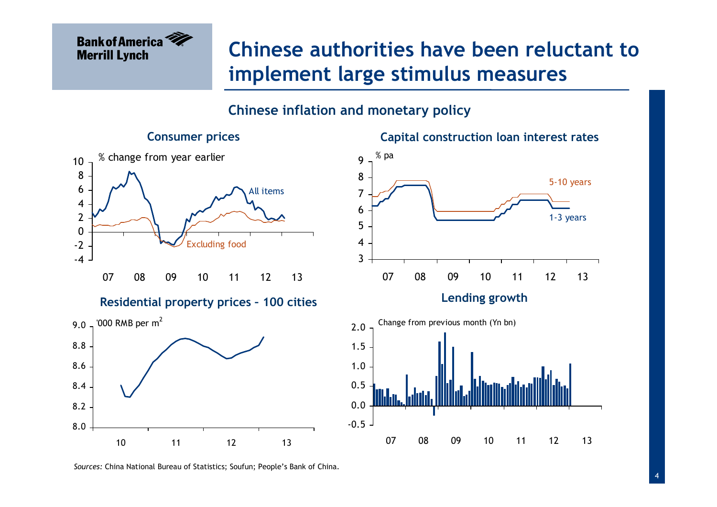

## Chinese authorities have been reluctant to implement large stimulus measures

Capital construction loan interest rates

#### Chinese inflation and monetary policy

#### Consumer prices



Sources: China National Bureau of Statistics; Soufun; People's Bank of China.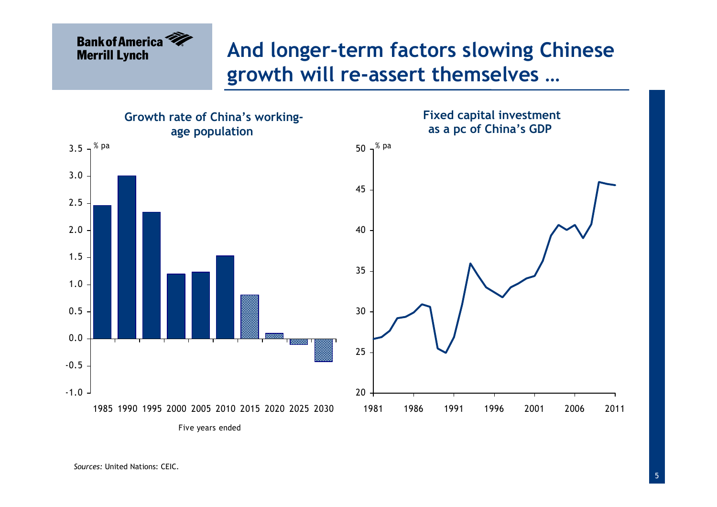## And longer-term factors slowing Chinese growth will re-assert themselves …



Sources: United Nations: CEIC.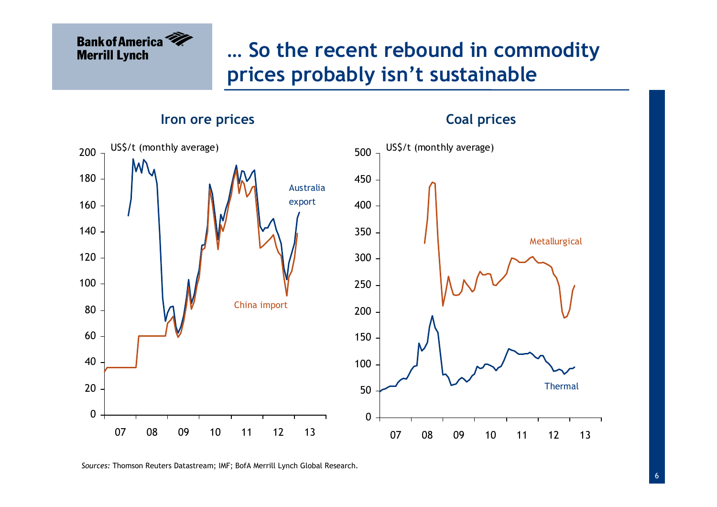## … So the recent rebound in commodity prices probably isn't sustainable

Iron ore prices



Sources: Thomson Reuters Datastream; IMF; BofA Merrill Lynch Global Research.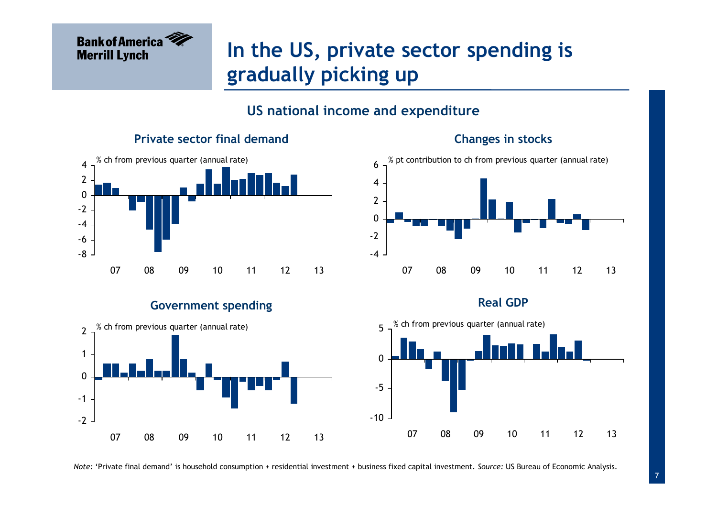

## In the US, private sector spending is gradually picking up

#### US national income and expenditure

#### Private sector final demand



#### Changes in stocks



#### Real GDP



#### Government spending

 $-2$ -1 $\Omega$ 12<sup>07</sup> <sup>08</sup> <sup>09</sup> <sup>10</sup> <sup>11</sup> <sup>12</sup> <sup>13</sup>% ch from previous quarter (annual rate)

Note: 'Private final demand' is household consumption + residential investment + business fixed capital investment. Source: US Bureau of Economic Analysis.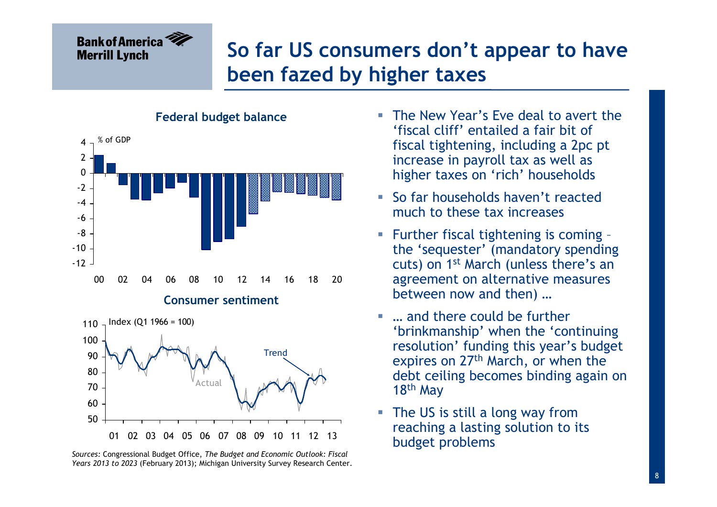# So far US consumers don't appear to have been fazed by higher taxes



#### Sources: Congressional Budget Office, The Budget and Economic Outlook: Fiscal Years 2013 to 2023 (February 2013); Michigan University Survey Research Center.

- $\overline{\phantom{a}}$  The New Year's Eve deal to avert the 'fiscal cliff' entailed a fair bit of fiscal tightening, including a 2pc pt increase in payroll tax as well as higher taxes on 'rich' households
- Ī. So far households haven't reacted much to these tax increases
- T, Further fiscal tightening is coming – the 'sequester' (mandatory spending cuts) on 1st March (unless there's an agreement on alternative measures between now and then) …
- … and there could be further 'brinkmanship' when the 'continuing resolution' funding this year's budget expires on 27<sup>th</sup> March, or when the debt ceiling becomes binding again on 18<sup>th</sup> May
- F. The US is still a long way from reaching a lasting solution to its budget problems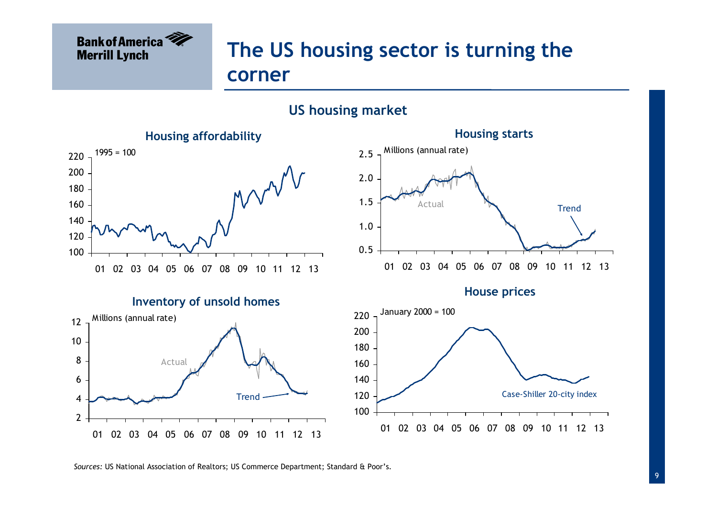

# The US housing sector is turning the corner

#### US housing market



Sources: US National Association of Realtors; US Commerce Department; Standard & Poor's.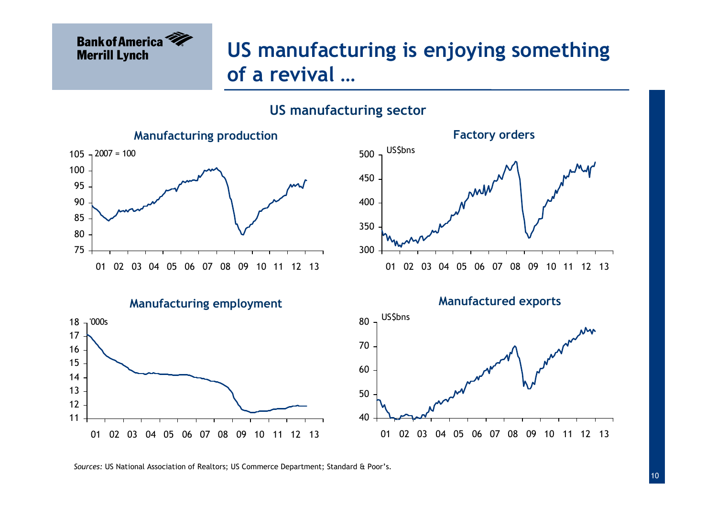

# US manufacturing is enjoying something of a revival …

#### US manufacturing sector



Sources: US National Association of Realtors; US Commerce Department; Standard & Poor's.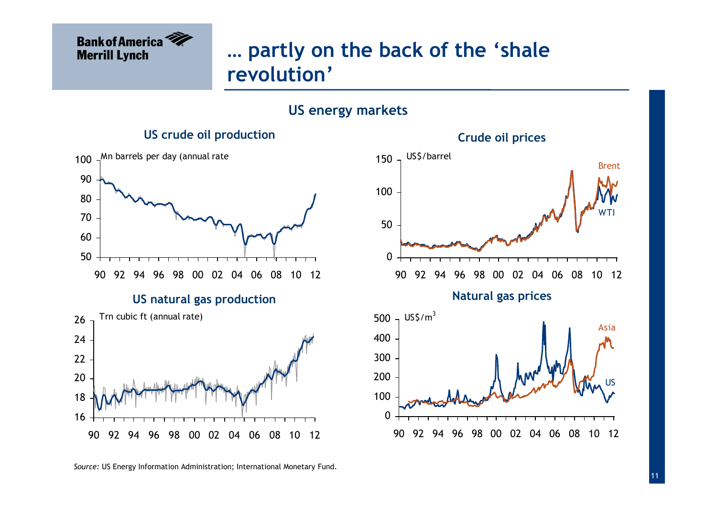

## … partly on the back of the 'shale revolution'

#### US energy markets

#### US crude oil production



Source: US Energy Information Administration; International Monetary Fund.

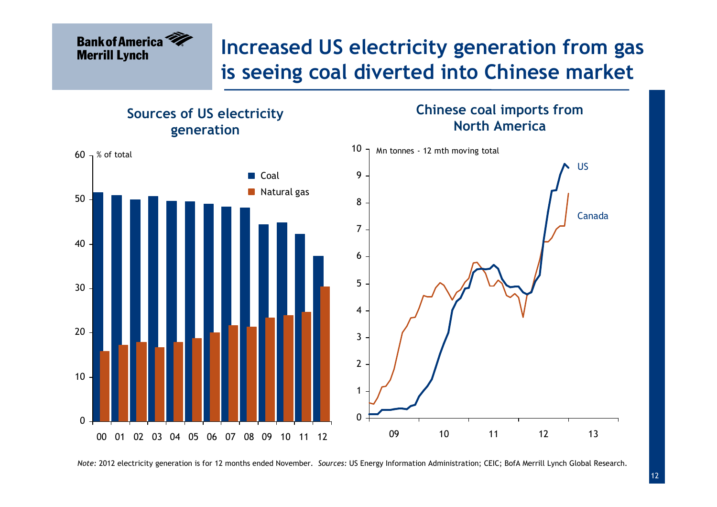### Increased US electricity generation from gas is seeing coal diverted into Chinese market



Note: 2012 electricity generation is for 12 months ended November. Sources: US Energy Information Administration; CEIC; BofA Merrill Lynch Global Research.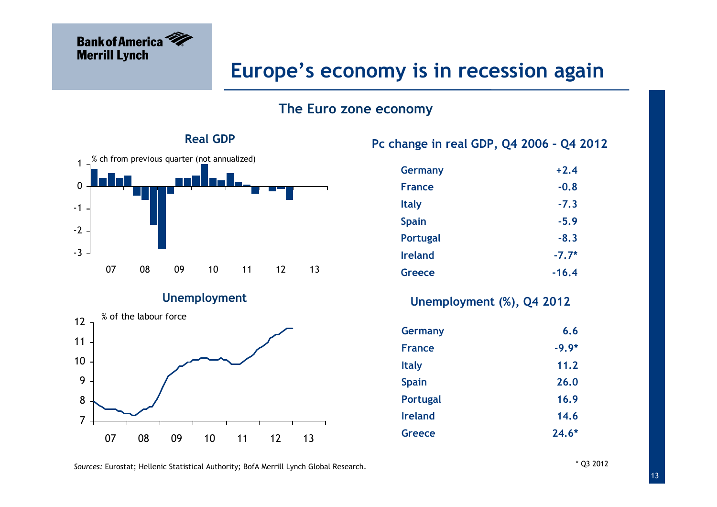

#### Europe's economy is in recession again

#### The Euro zone economy



#### Unemployment



#### Pc change in real GDP, Q4 2006 – Q4 2012

| <b>Germany</b>  | $+2.4$  |
|-----------------|---------|
| <b>France</b>   | $-0.8$  |
| <b>Italy</b>    | $-7.3$  |
| <b>Spain</b>    | $-5.9$  |
| <b>Portugal</b> | $-8.3$  |
| <b>Ireland</b>  | $-7.7*$ |
| Greece          | $-16.4$ |

#### Unemployment (%), Q4 2012

| <b>Germany</b>  | 6.6     |
|-----------------|---------|
| <b>France</b>   | $-9.9*$ |
| <b>Italy</b>    | 11.2    |
| <b>Spain</b>    | 26.0    |
| <b>Portugal</b> | 16.9    |
| <b>Ireland</b>  | 14.6    |
| Greece          | $24.6*$ |

Sources: Eurostat; Hellenic Statistical Authority; BofA Merrill Lynch Global Research.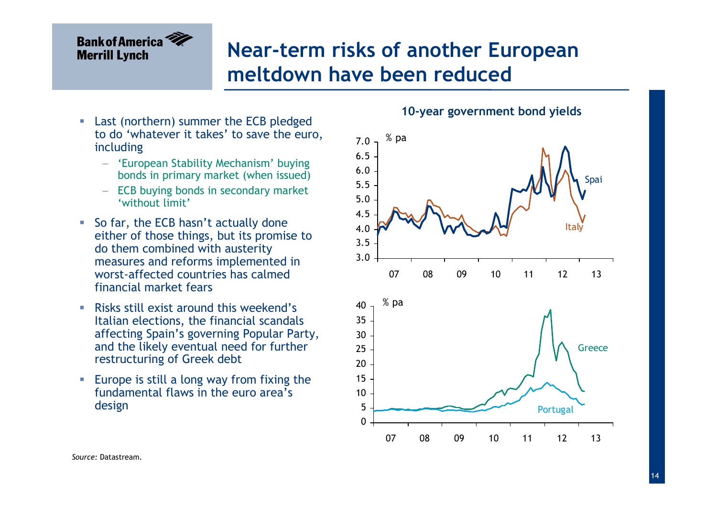## Near-term risks of another European meltdown have been reduced

- $\mathcal{L}_{\mathcal{A}}$  Last (northern) summer the ECB pledged to do 'whatever it takes' to save the euro, including
	- − 'European Stability Mechanism' buying bonds in primary market (when issued)
	- − ECB buying bonds in secondary market 'without limit'
- So far, the ECB hasn't actually done either of those things, but its promise to do them combined with austerity measures and reforms implemented in worst-affected countries has calmed financial market fears
- $\mathcal{L}_{\mathcal{A}}$  Risks still exist around this weekend's Italian elections, the financial scandals affecting Spain's governing Popular Party, and the likely eventual need for further restructuring of Greek debt
- $\mathcal{L}_{\mathcal{A}}$  Europe is still a long way from fixing the fundamental flaws in the euro area's design

#### 10-year government bond yields

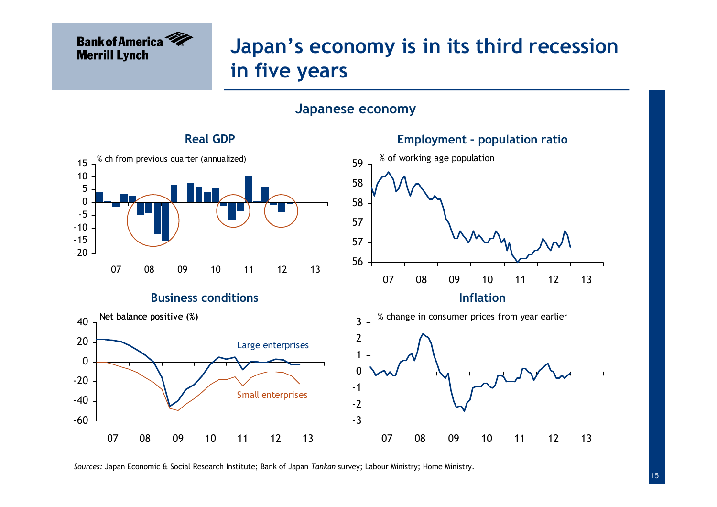## Japan's economy is in its third recession in five years

#### Japanese economy



Sources: Japan Economic & Social Research Institute; Bank of Japan Tankan survey; Labour Ministry; Home Ministry.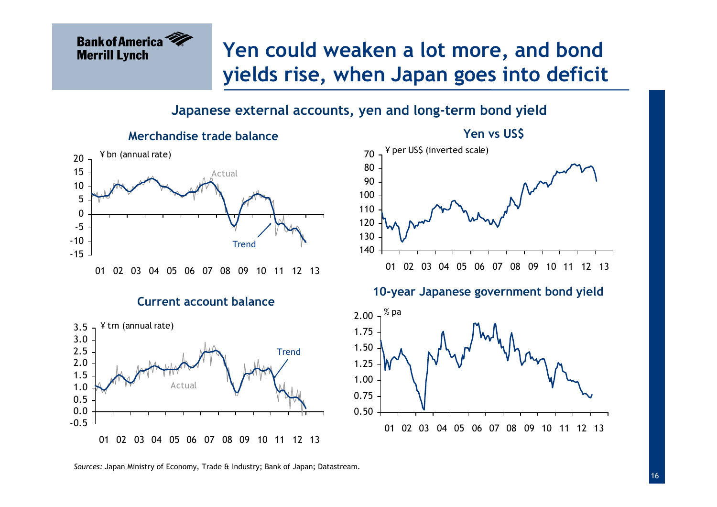### Yen could weaken a lot more, and bond yields rise, when Japan goes into deficit

#### Japanese external accounts, yen and long-term bond yield



**Bank of America** 

**Merrill Lynch** 













Sources: Japan Ministry of Economy, Trade & Industry; Bank of Japan; Datastream.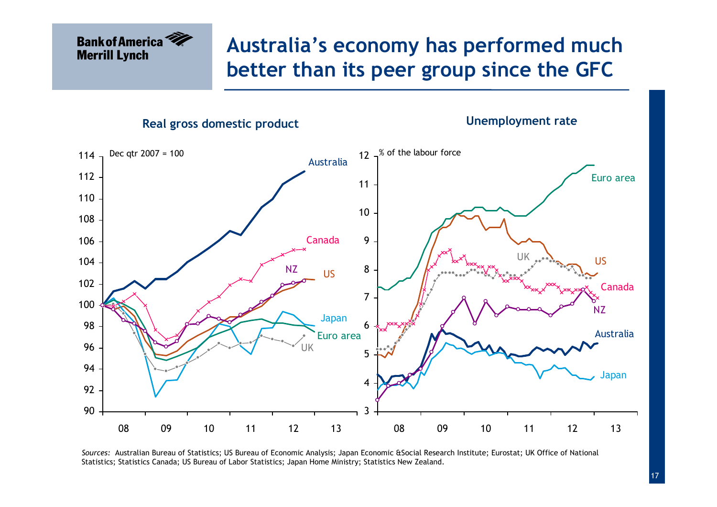## Australia's economy has performed much better than its peer group since the GFC

Real gross domestic product

Unemployment rate



Sources: Australian Bureau of Statistics; US Bureau of Economic Analysis; Japan Economic &Social Research Institute; Eurostat; UK Office of National Statistics; Statistics Canada; US Bureau of Labor Statistics; Japan Home Ministry; Statistics New Zealand.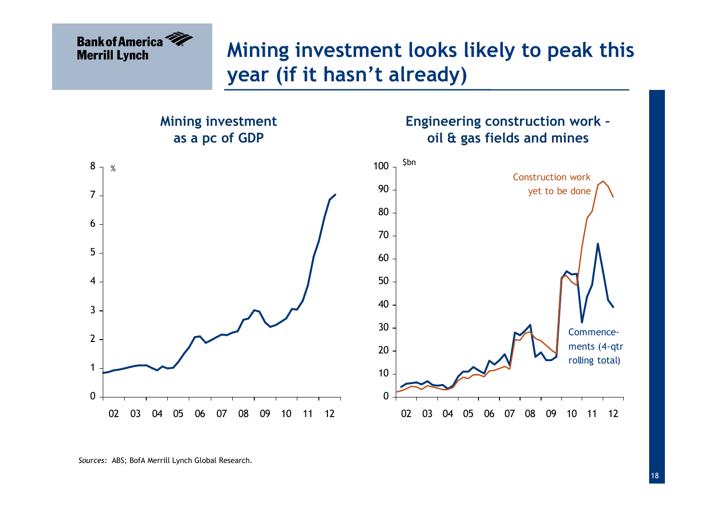## Mining investment looks likely to peak this year (if it hasn't already)

Engineering construction work –oil & gas fields and mines

Mining investment as a pc of GDP



Sources: ABS; BofA Merrill Lynch Global Research.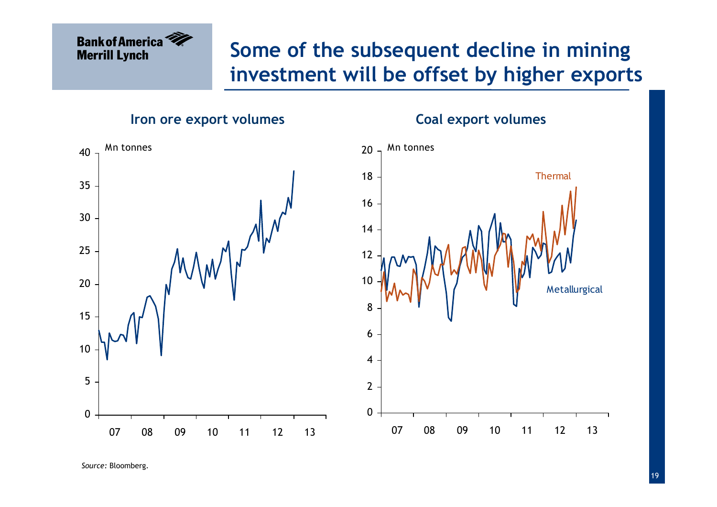## Some of the subsequent decline in mining investment will be offset by higher exports

Iron ore export volumes



Source: Bloomberg.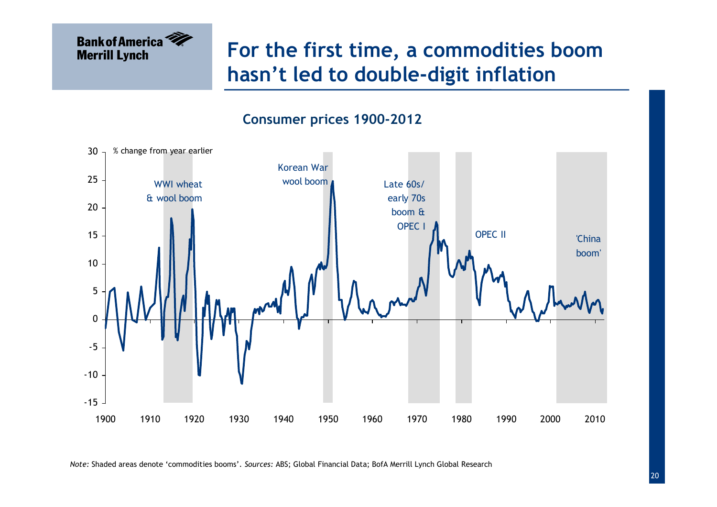## For the first time, a commodities boom hasn't led to double-digit inflation



Note: Shaded areas denote 'commodities booms'. Sources: ABS; Global Financial Data; BofA Merrill Lynch Global Research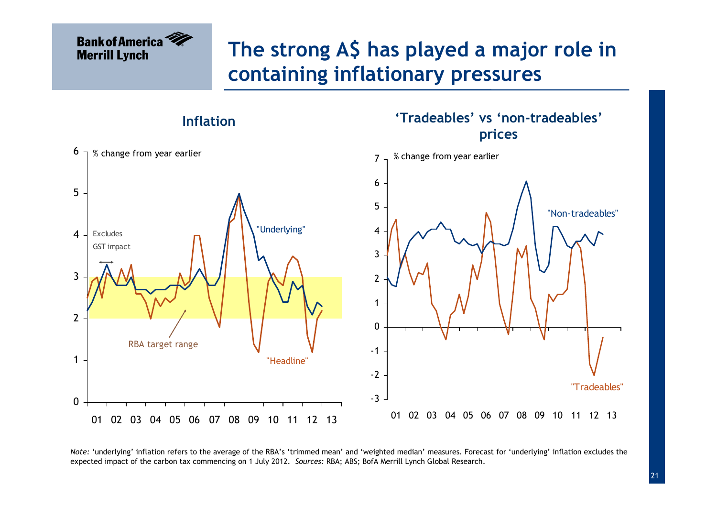## The strong A\$ has played a major role in containing inflationary pressures

'Tradeables' vs 'non-tradeables'

Inflation



Note: 'underlying' inflation refers to the average of the RBA's 'trimmed mean' and 'weighted median' measures. Forecast for 'underlying' inflation excludes the expected impact of the carbon tax commencing on 1 July 2012. Sources: RBA; ABS; BofA Merrill Lynch Global Research.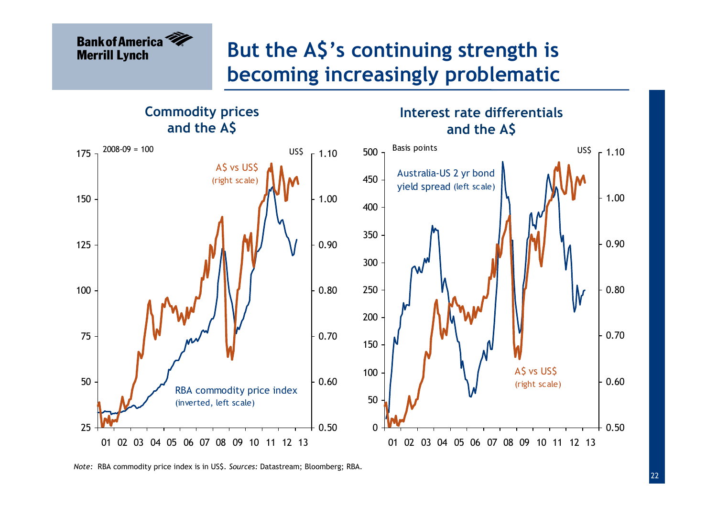# But the A\$'s continuing strength is becoming increasingly problematic

Commodity prices and the A\$

Interest rate differentials and the A\$



Note: RBA commodity price index is in US\$. Sources: Datastream; Bloomberg; RBA.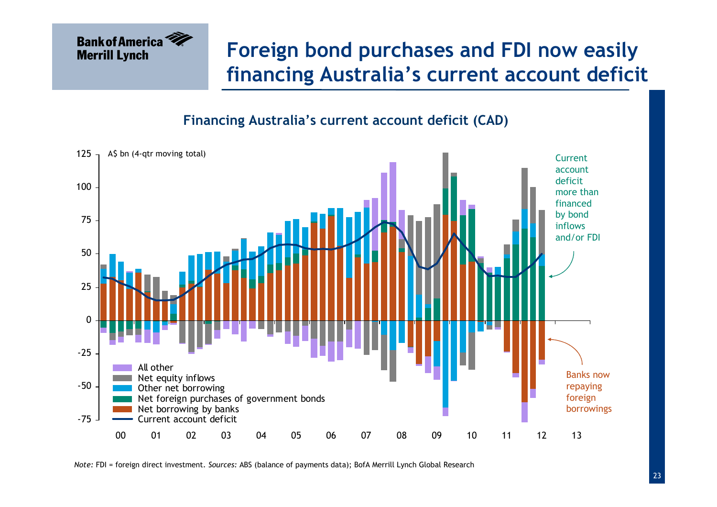

## Foreign bond purchases and FDI now easily financing Australia's current account deficit

Financing Australia's current account deficit (CAD)



Note: FDI = foreign direct investment. Sources: ABS (balance of payments data); BofA Merrill Lynch Global Research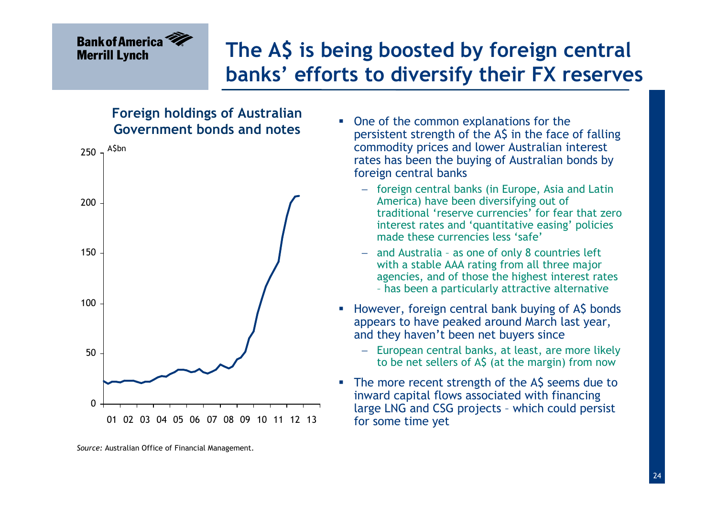## The A\$ is being boosted by foreign central banks' efforts to diversify their FX reserves

#### Foreign holdings of Australian Government bonds and notes



 $\overline{\phantom{a}}$  One of the common explanations for the persistent strength of the A\$ in the face of falling commodity prices and lower Australian interest rates has been the buying of Australian bonds by foreign central banks

- − foreign central banks (in Europe, Asia and Latin America) have been diversifying out of traditional 'reserve currencies' for fear that zero interest rates and 'quantitative easing' policies made these currencies less 'safe'
- − and Australia – as one of only 8 countries left with a stable AAA rating from all three major agencies, and of those the highest interest rates – has been a particularly attractive alternative
- **However, foreign central bank buying of A\$ bonds** appears to have peaked around March last year, and they haven't been net buyers since
	- − European central banks, at least, are more likely to be net sellers of A\$ (at the margin) from now
- I. The more recent strength of the A\$ seems due to inward capital flows associated with financing large LNG and CSG projects - which could persist for some time yet

Source: Australian Office of Financial Management.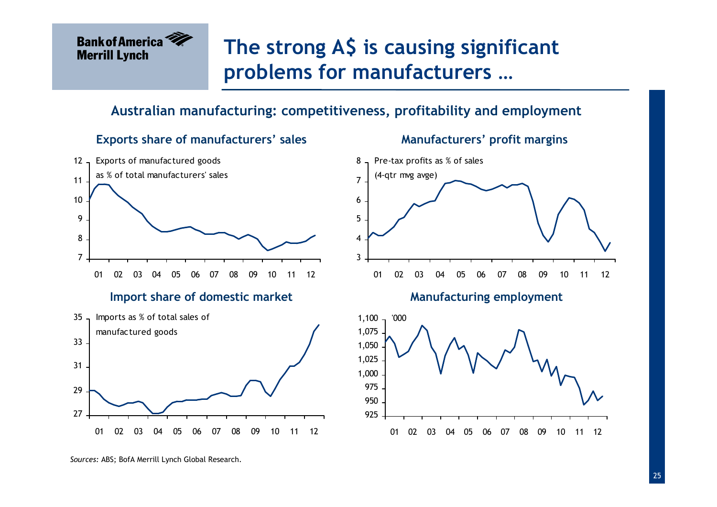

Exports share of manufacturers' sales

## The strong A\$ is causing significant problems for manufacturers …

#### Australian manufacturing: competitiveness, profitability and employment



Manufacturers' profit margins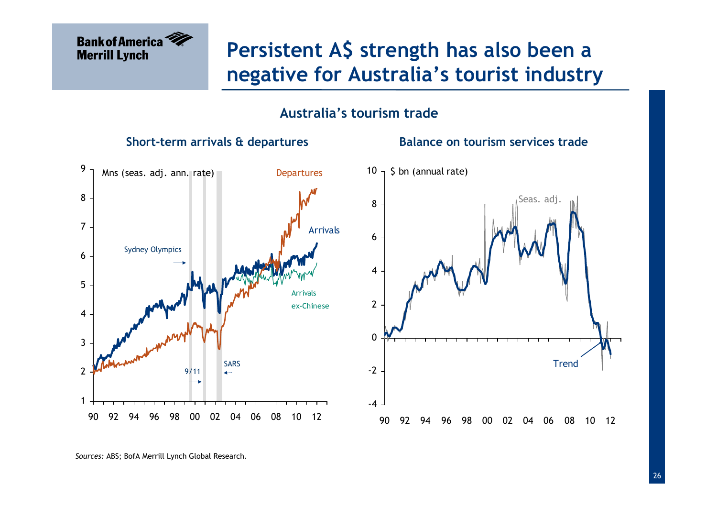

## Persistent A\$ strength has also been a negative for Australia's tourist industry

#### Australia's tourism trade

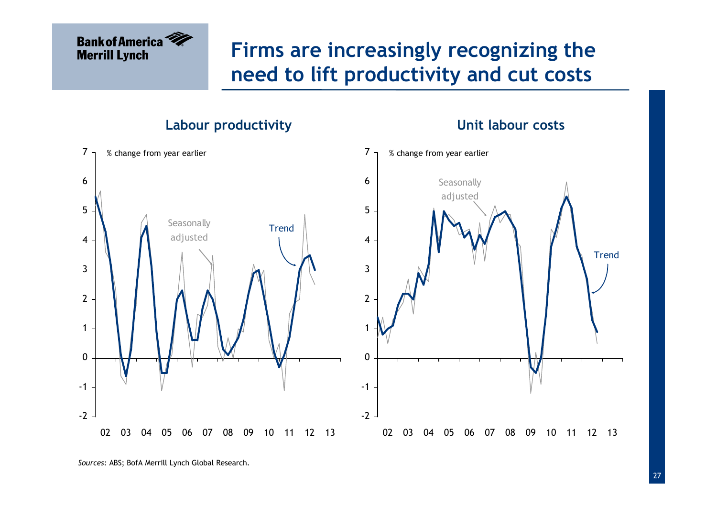## Firms are increasingly recognizing the need to lift productivity and cut costs

Labour productivity



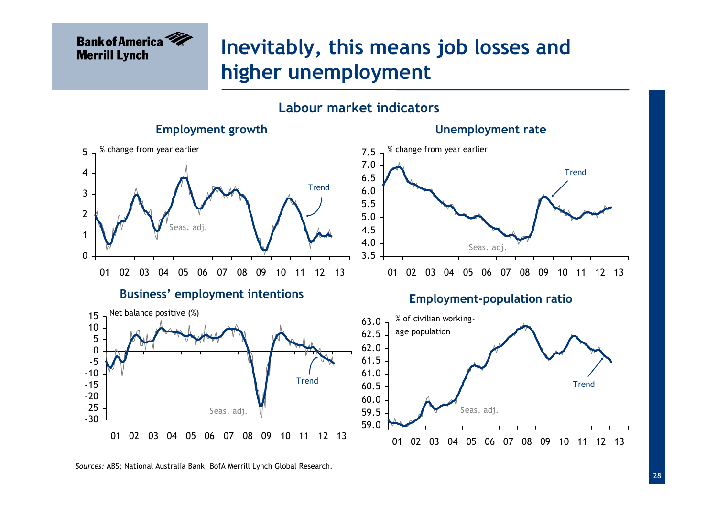

### Inevitably, this means job losses and higher unemployment

#### Labour market indicators



Sources: ABS; National Australia Bank; BofA Merrill Lynch Global Research.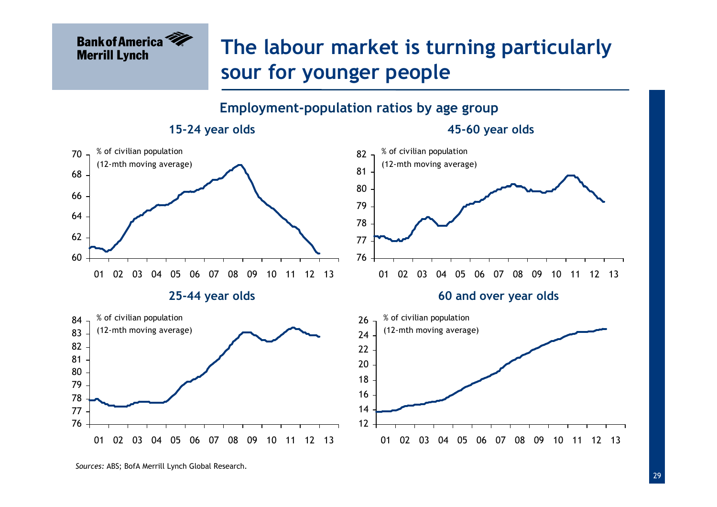

## The labour market is turning particularly sour for younger people







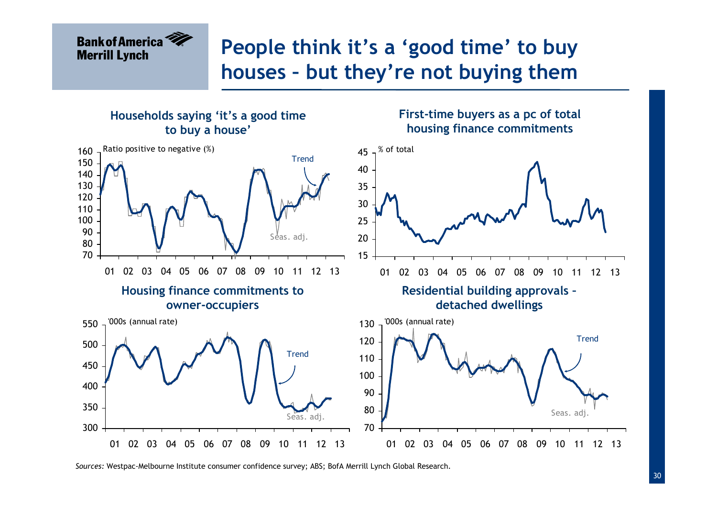## People think it's a 'good time' to buy houses – but they're not buying them



Sources: Westpac-Melbourne Institute consumer confidence survey; ABS; BofA Merrill Lynch Global Research.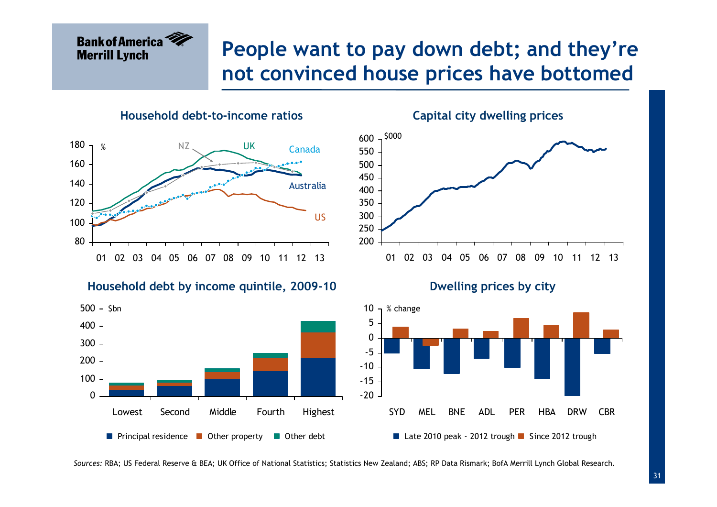## People want to pay down debt; and they're not convinced house prices have bottomed

Household debt-to-income ratios



Household debt by income quintile, 2009-10





Dwelling prices by city



Sources: RBA; US Federal Reserve & BEA; UK Office of National Statistics; Statistics New Zealand; ABS; RP Data Rismark; BofA Merrill Lynch Global Research.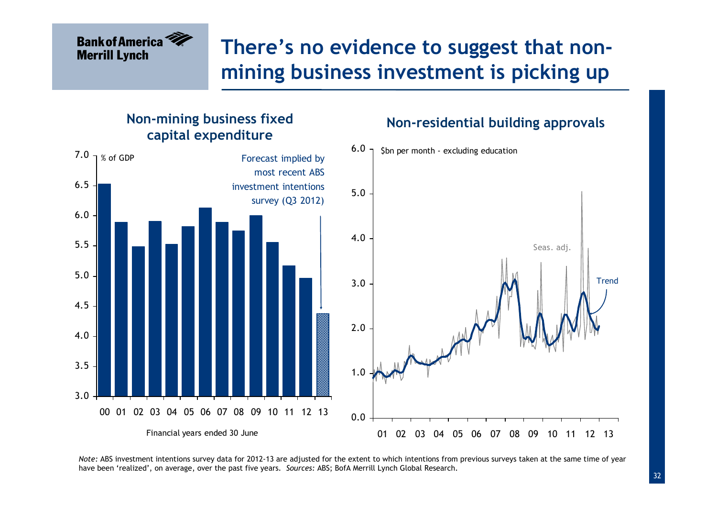## There's no evidence to suggest that nonmining business investment is picking up

Non-residential building approvals



#### Non-mining business fixed capital expenditure

Note: ABS investment intentions survey data for 2012-13 are adjusted for the extent to which intentions from previous surveys taken at the same time of year have been 'realized', on average, over the past five years. Sources: ABS; BofA Merrill Lynch Global Research.

Trend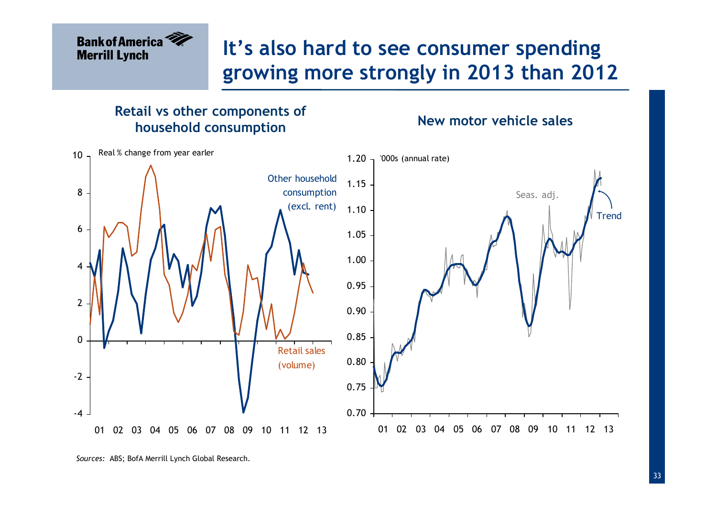## It's also hard to see consumer spending growing more strongly in 2013 than 2012

#### Retail vs other components of household consumption

New motor vehicle sales



Sources: ABS; BofA Merrill Lynch Global Research.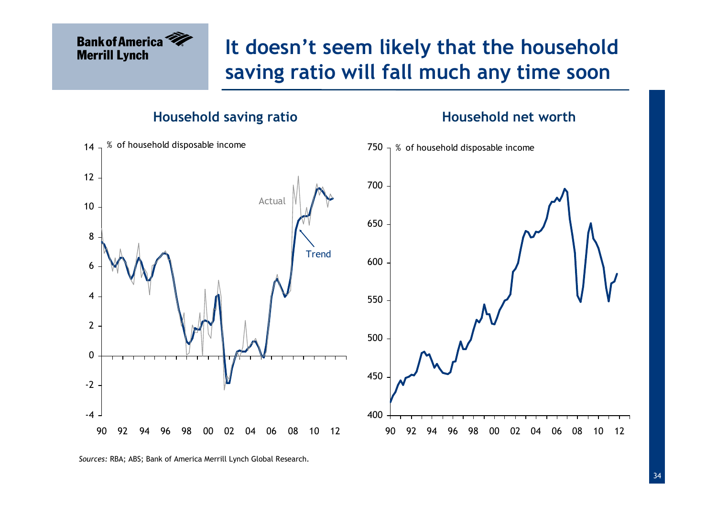# It doesn't seem likely that the household saving ratio will fall much any time soon

#### Household saving ratio

#### Household net worth



Sources: RBA; ABS; Bank of America Merrill Lynch Global Research.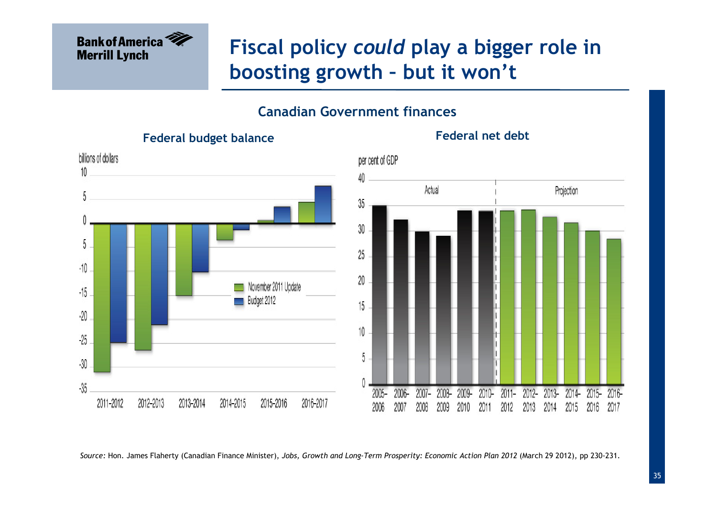

## Fiscal policy could play a bigger role in boosting growth – but it won't

#### Canadian Government finances



Federal net debt

Source: Hon. James Flaherty (Canadian Finance Minister), Jobs, Growth and Long-Term Prosperity: Economic Action Plan 2012 (March 29 2012), pp 230-231.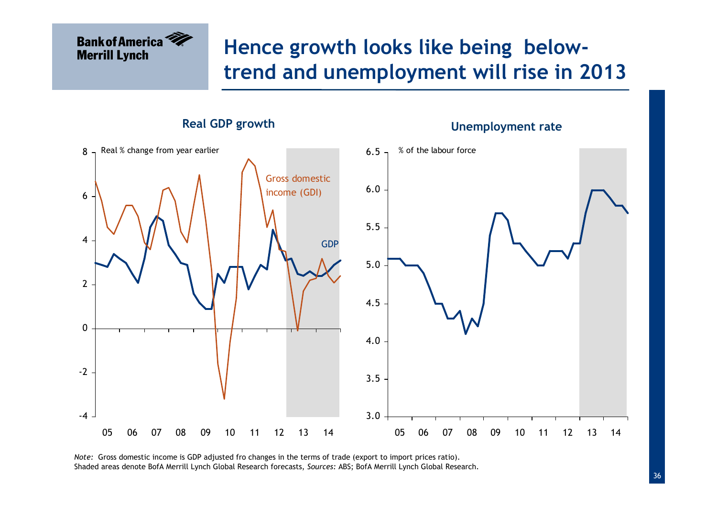## Hence growth looks like being belowtrend and unemployment will rise in 2013



Unemployment rate

Note: Gross domestic income is GDP adjusted fro changes in the terms of trade (export to import prices ratio).Shaded areas denote BofA Merrill Lynch Global Research forecasts, Sources: ABS; BofA Merrill Lynch Global Research.

**Bank of America** 

**Merrill Lynch**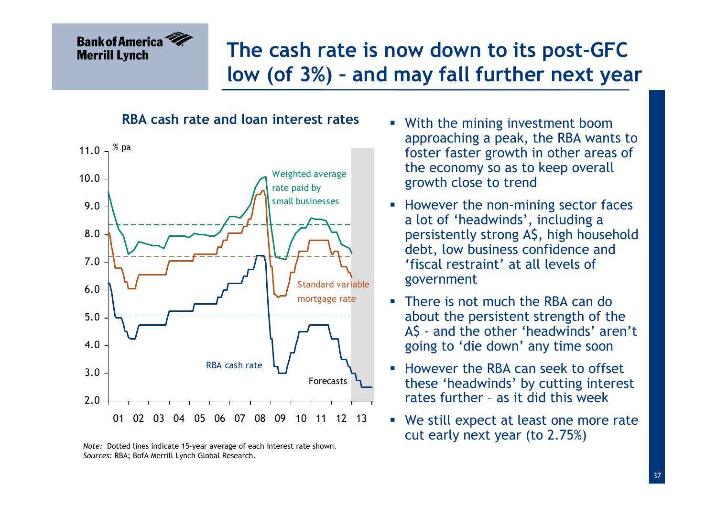## The cash rate is now down to its post-GFC low (of 3%) – and may fall further next year

#### RBA cash rate and loan interest rates



Note: Dotted lines indicate 15-year average of each interest rate shown.Sources: RBA; BofA Merrill Lynch Global Research.

- **With the mining investment boom** approaching a peak, the RBA wants to foster faster growth in other areas of the economy so as to keep overall growth close to trend
- **However the non-mining sector faces** a lot of 'headwinds', including a persistently strong A\$, high household debt, low business confidence and 'fiscal restraint' at all levels of government
- **There is not much the RBA can do** about the persistent strength of the A\$ - and the other 'headwinds' aren't going to 'die down' any time soon
- **However the RBA can seek to offset** these 'headwinds' by cutting interest rates further – as it did this week
- We still expect at least one more rate cut early next year (to 2.75%)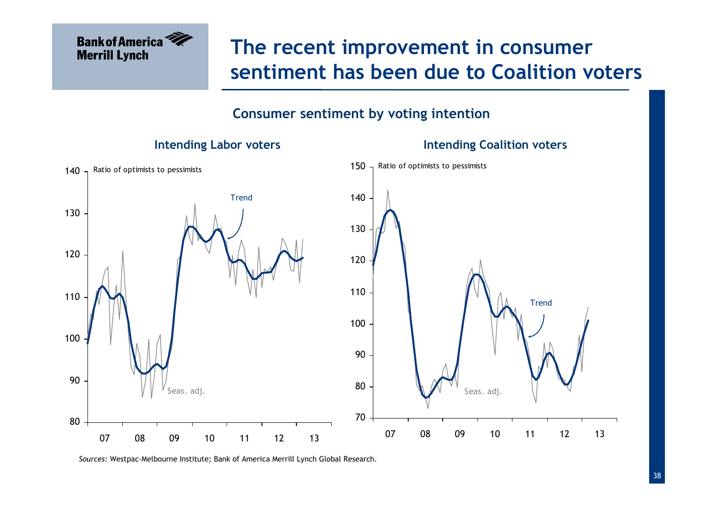

## The recent improvement in consumer sentiment has been due to Coalition voters

#### Consumer sentiment by voting intention



Sources: Westpac-Melbourne Institute; Bank of America Merrill Lynch Global Research.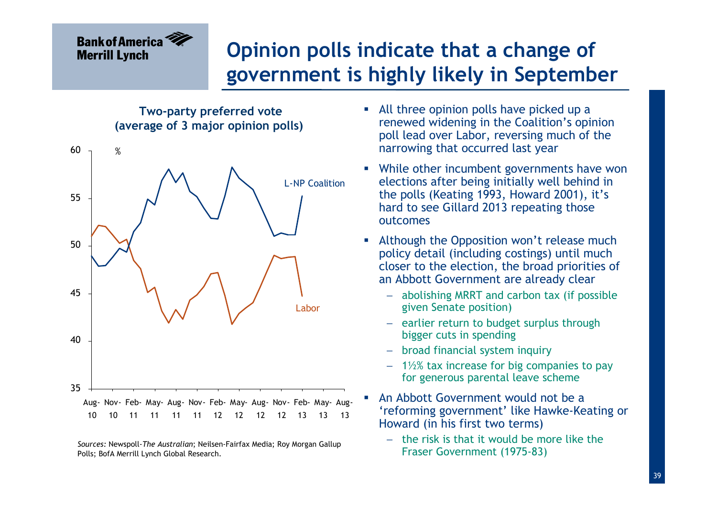# Opinion polls indicate that a change of government is highly likely in September

Two-party preferred vote (average of 3 major opinion polls)



Sources: Newspoll-The Australian; Neilsen-Fairfax Media; Roy Morgan Gallup Polls; BofA Merrill Lynch Global Research.

- All three opinion polls have picked up a renewed widening in the Coalition's opinion poll lead over Labor, reversing much of the narrowing that occurred last year
- While other incumbent governments have won elections after being initially well behind in the polls (Keating 1993, Howard 2001), it's hard to see Gillard 2013 repeating those outcomes
- **Although the Opposition won't release much** policy detail (including costings) until much closer to the election, the broad priorities of an Abbott Government are already clear
	- − abolishing MRRT and carbon tax (if possible given Senate position)
	- − earlier return to budget surplus through bigger cuts in spending
	- − broad financial system inquiry
	- − 1½% tax increase for big companies to pay for generous parental leave scheme
- An Abbott Government would not be a 'reforming government' like Hawke-Keating or Howard (in his first two terms)
	- − the risk is that it would be more like the Fraser Government (1975-83)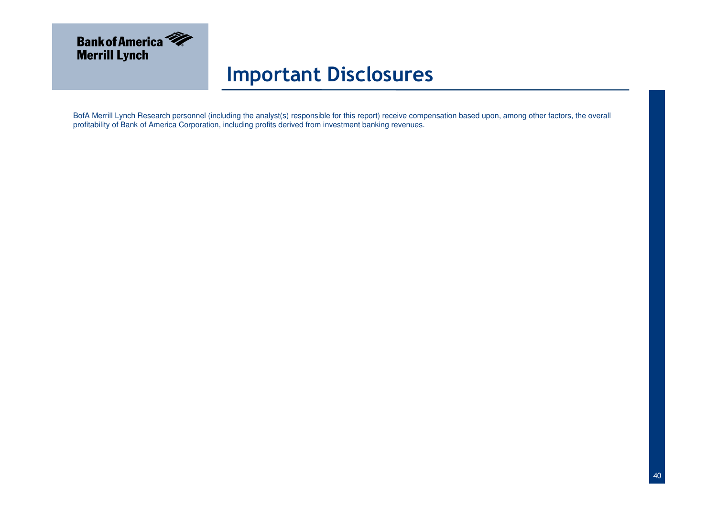

#### Important Disclosures

BofA Merrill Lynch Research personnel (including the analyst(s) responsible for this report) receive compensation based upon, among other factors, the overall<br>profitability of Bank of America Corporation, including profits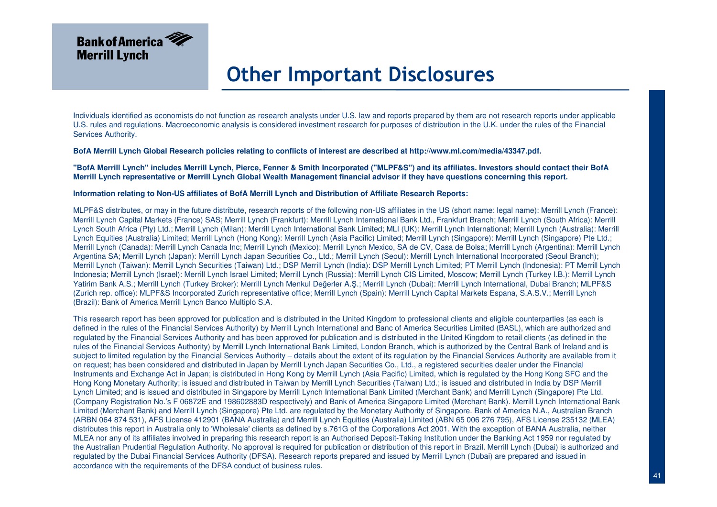

Individuals identified as economists do not function as research analysts under U.S. law and reports prepared by them are not research reports under applicable U.S. rules and regulations. Macroeconomic analysis is considered investment research for purposes of distribution in the U.K. under the rules of the Financial Services Authority.

**BofA Merrill Lynch Global Research policies relating to conflicts of interest are described at http://www.ml.com/media/43347.pdf.**

**"BofA Merrill Lynch" includes Merrill Lynch, Pierce, Fenner & Smith Incorporated ("MLPF&S") and its affiliates. Investors should contact their BofA Merrill Lynch representative or Merrill Lynch Global Wealth Management financial advisor if they have questions concerning this report.**

#### **Information relating to Non-US affiliates of BofA Merrill Lynch and Distribution of Affiliate Research Reports:**

MLPF&S distributes, or may in the future distribute, research reports of the following non-US affiliates in the US (short name: legal name): Merrill Lynch (France): Merrill Lynch Capital Markets (France) SAS; Merrill Lynch (Frankfurt): Merrill Lynch International Bank Ltd., Frankfurt Branch; Merrill Lynch (South Africa): Merrill Lynch South Africa (Pty) Ltd.; Merrill Lynch (Milan): Merrill Lynch International Bank Limited; MLI (UK): Merrill Lynch International; Merrill Lynch (Australia): Merrill Lynch Equities (Australia) Limited; Merrill Lynch (Hong Kong): Merrill Lynch (Asia Pacific) Limited; Merrill Lynch (Singapore): Merrill Lynch (Singapore) Pte Ltd.; Merrill Lynch (Canada): Merrill Lynch Canada Inc; Merrill Lynch (Mexico): Merrill Lynch Mexico, SA de CV, Casa de Bolsa; Merrill Lynch (Argentina): Merrill Lynch Argentina SA; Merrill Lynch (Japan): Merrill Lynch Japan Securities Co., Ltd.; Merrill Lynch (Seoul): Merrill Lynch International Incorporated (Seoul Branch); Merrill Lynch (Taiwan): Merrill Lynch Securities (Taiwan) Ltd.; DSP Merrill Lynch (India): DSP Merrill Lynch Limited; PT Merrill Lynch (Indonesia): PT Merrill Lynch Indonesia; Merrill Lynch (Israel): Merrill Lynch Israel Limited; Merrill Lynch (Russia): Merrill Lynch CIS Limited, Moscow; Merrill Lynch (Turkey I.B.): Merrill Lynch Yatirim Bank A.S.; Merrill Lynch (Turkey Broker): Merrill Lynch Menkul Değerler A.Ş.; Merrill Lynch (Dubai): Merrill Lynch International, Dubai Branch; MLPF&S (Zurich rep. office): MLPF&S Incorporated Zurich representative office; Merrill Lynch (Spain): Merrill Lynch Capital Markets Espana, S.A.S.V.; Merrill Lynch (Brazil): Bank of America Merrill Lynch Banco Multiplo S.A.

This research report has been approved for publication and is distributed in the United Kingdom to professional clients and eligible counterparties (as each is defined in the rules of the Financial Services Authority) by Merrill Lynch International and Banc of America Securities Limited (BASL), which are authorized and regulated by the Financial Services Authority and has been approved for publication and is distributed in the United Kingdom to retail clients (as defined in the rules of the Financial Services Authority) by Merrill Lynch International Bank Limited, London Branch, which is authorized by the Central Bank of Ireland and is subject to limited regulation by the Financial Services Authority – details about the extent of its regulation by the Financial Services Authority are available from it on request; has been considered and distributed in Japan by Merrill Lynch Japan Securities Co., Ltd., a registered securities dealer under the Financial Instruments and Exchange Act in Japan; is distributed in Hong Kong by Merrill Lynch (Asia Pacific) Limited, which is regulated by the Hong Kong SFC and the Hong Kong Monetary Authority; is issued and distributed in Taiwan by Merrill Lynch Securities (Taiwan) Ltd.; is issued and distributed in India by DSP Merrill Lynch Limited; and is issued and distributed in Singapore by Merrill Lynch International Bank Limited (Merchant Bank) and Merrill Lynch (Singapore) Pte Ltd. (Company Registration No.'s F 06872E and 198602883D respectively) and Bank of America Singapore Limited (Merchant Bank). Merrill Lynch International BankLimited (Merchant Bank) and Merrill Lynch (Singapore) Pte Ltd. are regulated by the Monetary Authority of Singapore. Bank of America N.A., Australian Branch (ARBN 064 874 531), AFS License 412901 (BANA Australia) and Merrill Lynch Equities (Australia) Limited (ABN 65 006 276 795), AFS License 235132 (MLEA) distributes this report in Australia only to 'Wholesale' clients as defined by s.761G of the Corporations Act 2001. With the exception of BANA Australia, neither MLEA nor any of its affiliates involved in preparing this research report is an Authorised Deposit-Taking Institution under the Banking Act 1959 nor regulated by the Australian Prudential Regulation Authority. No approval is required for publication or distribution of this report in Brazil. Merrill Lynch (Dubai) is authorized and regulated by the Dubai Financial Services Authority (DFSA). Research reports prepared and issued by Merrill Lynch (Dubai) are prepared and issued in accordance with the requirements of the DFSA conduct of business rules.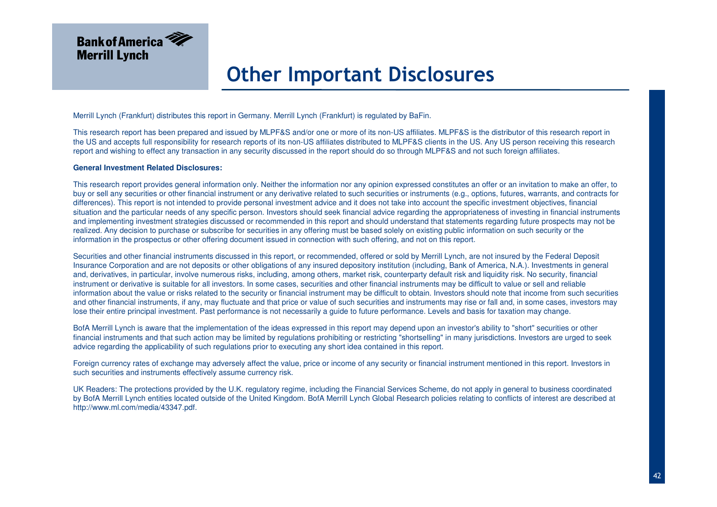

Merrill Lynch (Frankfurt) distributes this report in Germany. Merrill Lynch (Frankfurt) is regulated by BaFin.

This research report has been prepared and issued by MLPF&S and/or one or more of its non-US affiliates. MLPF&S is the distributor of this research report in the US and accepts full responsibility for research reports of its non-US affiliates distributed to MLPF&S clients in the US. Any US person receiving this research report and wishing to effect any transaction in any security discussed in the report should do so through MLPF&S and not such foreign affiliates.

#### **General Investment Related Disclosures:**

This research report provides general information only. Neither the information nor any opinion expressed constitutes an offer or an invitation to make an offer, to buy or sell any securities or other financial instrument or any derivative related to such securities or instruments (e.g., options, futures, warrants, and contracts for differences). This report is not intended to provide personal investment advice and it does not take into account the specific investment objectives, financial situation and the particular needs of any specific person. Investors should seek financial advice regarding the appropriateness of investing in financial instruments and implementing investment strategies discussed or recommended in this report and should understand that statements regarding future prospects may not be realized. Any decision to purchase or subscribe for securities in any offering must be based solely on existing public information on such security or the information in the prospectus or other offering document issued in connection with such offering, and not on this report.

Securities and other financial instruments discussed in this report, or recommended, offered or sold by Merrill Lynch, are not insured by the Federal Deposit Insurance Corporation and are not deposits or other obligations of any insured depository institution (including, Bank of America, N.A.). Investments in general and, derivatives, in particular, involve numerous risks, including, among others, market risk, counterparty default risk and liquidity risk. No security, financial instrument or derivative is suitable for all investors. In some cases, securities and other financial instruments may be difficult to value or sell and reliable information about the value or risks related to the security or financial instrument may be difficult to obtain. Investors should note that income from such securities and other financial instruments, if any, may fluctuate and that price or value of such securities and instruments may rise or fall and, in some cases, investors may lose their entire principal investment. Past performance is not necessarily a guide to future performance. Levels and basis for taxation may change.

BofA Merrill Lynch is aware that the implementation of the ideas expressed in this report may depend upon an investor's ability to "short" securities or other financial instruments and that such action may be limited by regulations prohibiting or restricting "shortselling" in many jurisdictions. Investors are urged to seek advice regarding the applicability of such regulations prior to executing any short idea contained in this report.

Foreign currency rates of exchange may adversely affect the value, price or income of any security or financial instrument mentioned in this report. Investors in such securities and instruments effectively assume currency risk.

UK Readers: The protections provided by the U.K. regulatory regime, including the Financial Services Scheme, do not apply in general to business coordinated by BofA Merrill Lynch entities located outside of the United Kingdom. BofA Merrill Lynch Global Research policies relating to conflicts of interest are described at http://www.ml.com/media/43347.pdf.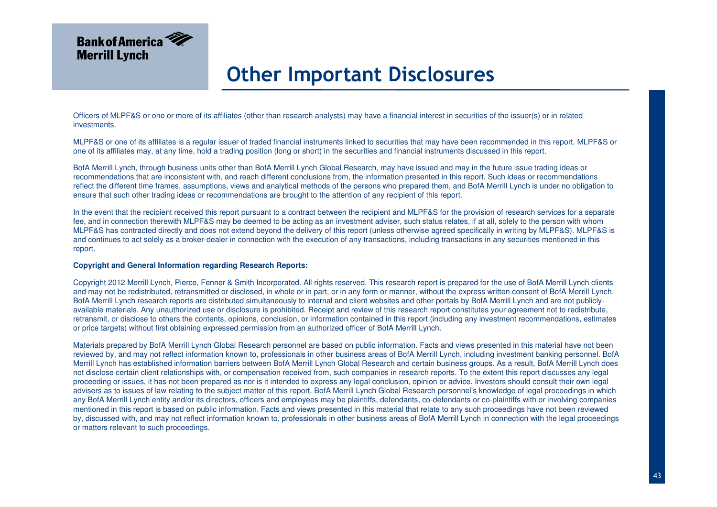

Officers of MLPF&S or one or more of its affiliates (other than research analysts) may have a financial interest in securities of the issuer(s) or in related investments.

MLPF&S or one of its affiliates is a regular issuer of traded financial instruments linked to securities that may have been recommended in this report. MLPF&S or one of its affiliates may, at any time, hold a trading position (long or short) in the securities and financial instruments discussed in this report.

BofA Merrill Lynch, through business units other than BofA Merrill Lynch Global Research, may have issued and may in the future issue trading ideas or recommendations that are inconsistent with, and reach different conclusions from, the information presented in this report. Such ideas or recommendations reflect the different time frames, assumptions, views and analytical methods of the persons who prepared them, and BofA Merrill Lynch is under no obligation to ensure that such other trading ideas or recommendations are brought to the attention of any recipient of this report.

In the event that the recipient received this report pursuant to a contract between the recipient and MLPF&S for the provision of research services for a separate fee, and in connection therewith MLPF&S may be deemed to be acting as an investment adviser, such status relates, if at all, solely to the person with whom MLPF&S has contracted directly and does not extend beyond the delivery of this report (unless otherwise agreed specifically in writing by MLPF&S). MLPF&S is and continues to act solely as a broker-dealer in connection with the execution of any transactions, including transactions in any securities mentioned in this report.

#### **Copyright and General Information regarding Research Reports:**

Copyright 2012 Merrill Lynch, Pierce, Fenner & Smith Incorporated. All rights reserved. This research report is prepared for the use of BofA Merrill Lynch clients and may not be redistributed, retransmitted or disclosed, in whole or in part, or in any form or manner, without the express written consent of BofA Merrill Lynch. BofA Merrill Lynch research reports are distributed simultaneously to internal and client websites and other portals by BofA Merrill Lynch and are not publiclyavailable materials. Any unauthorized use or disclosure is prohibited. Receipt and review of this research report constitutes your agreement not to redistribute, retransmit, or disclose to others the contents, opinions, conclusion, or information contained in this report (including any investment recommendations, estimates or price targets) without first obtaining expressed permission from an authorized officer of BofA Merrill Lynch.

Materials prepared by BofA Merrill Lynch Global Research personnel are based on public information. Facts and views presented in this material have not been reviewed by, and may not reflect information known to, professionals in other business areas of BofA Merrill Lynch, including investment banking personnel. BofA Merrill Lynch has established information barriers between BofA Merrill Lynch Global Research and certain business groups. As a result, BofA Merrill Lynch does not disclose certain client relationships with, or compensation received from, such companies in research reports. To the extent this report discusses any legal proceeding or issues, it has not been prepared as nor is it intended to express any legal conclusion, opinion or advice. Investors should consult their own legal advisers as to issues of law relating to the subject matter of this report. BofA Merrill Lynch Global Research personnel's knowledge of legal proceedings in which any BofA Merrill Lynch entity and/or its directors, officers and employees may be plaintiffs, defendants, co-defendants or co-plaintiffs with or involving companies mentioned in this report is based on public information. Facts and views presented in this material that relate to any such proceedings have not been reviewed by, discussed with, and may not reflect information known to, professionals in other business areas of BofA Merrill Lynch in connection with the legal proceedings or matters relevant to such proceedings.